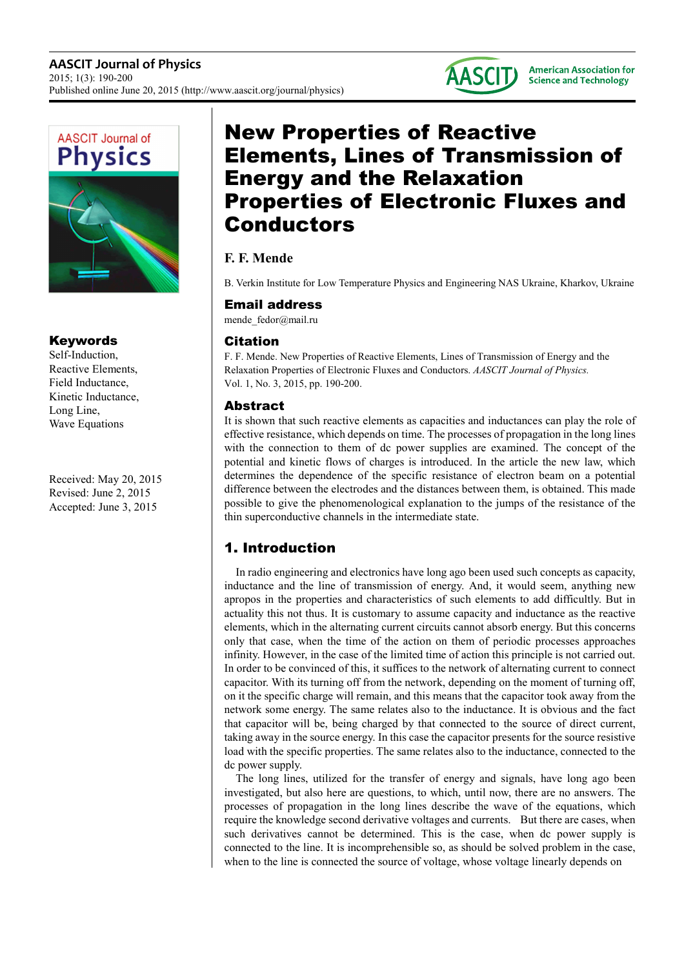

## Keywords

Self-Induction, Reactive Elements, Field Inductance, Kinetic Inductance, Long Line, Wave Equations

Received: May 20, 2015 Revised: June 2, 2015 Accepted: June 3, 2015

# New Properties of Reactive Elements, Lines of Transmission of Energy and the Relaxation Properties of Electronic Fluxes and Conductors

## **F. F. Mende**

B. Verkin Institute for Low Temperature Physics and Engineering NAS Ukraine, Kharkov, Ukraine

## Email address

mende fedor@mail.ru

## Citation

F. F. Mende. New Properties of Reactive Elements, Lines of Transmission of Energy and the Relaxation Properties of Electronic Fluxes and Conductors. *AASCIT Journal of Physics.* Vol. 1, No. 3, 2015, pp. 190-200.

## Abstract

It is shown that such reactive elements as capacities and inductances can play the role of effective resistance, which depends on time. The processes of propagation in the long lines with the connection to them of dc power supplies are examined. The concept of the potential and kinetic flows of charges is introduced. In the article the new law, which determines the dependence of the specific resistance of electron beam on a potential difference between the electrodes and the distances between them, is obtained. This made possible to give the phenomenological explanation to the jumps of the resistance of the thin superconductive channels in the intermediate state.

# 1. Introduction

In radio engineering and electronics have long ago been used such concepts as capacity, inductance and the line of transmission of energy. And, it would seem, anything new apropos in the properties and characteristics of such elements to add difficultly. But in actuality this not thus. It is customary to assume capacity and inductance as the reactive elements, which in the alternating current circuits cannot absorb energy. But this concerns only that case, when the time of the action on them of periodic processes approaches infinity. However, in the case of the limited time of action this principle is not carried out. In order to be convinced of this, it suffices to the network of alternating current to connect capacitor. With its turning off from the network, depending on the moment of turning off, on it the specific charge will remain, and this means that the capacitor took away from the network some energy. The same relates also to the inductance. It is obvious and the fact that capacitor will be, being charged by that connected to the source of direct current, taking away in the source energy. In this case the capacitor presents for the source resistive load with the specific properties. The same relates also to the inductance, connected to the dc power supply.

The long lines, utilized for the transfer of energy and signals, have long ago been investigated, but also here are questions, to which, until now, there are no answers. The processes of propagation in the long lines describe the wave of the equations, which require the knowledge second derivative voltages and currents. But there are cases, when such derivatives cannot be determined. This is the case, when dc power supply is connected to the line. It is incomprehensible so, as should be solved problem in the case, when to the line is connected the source of voltage, whose voltage linearly depends on

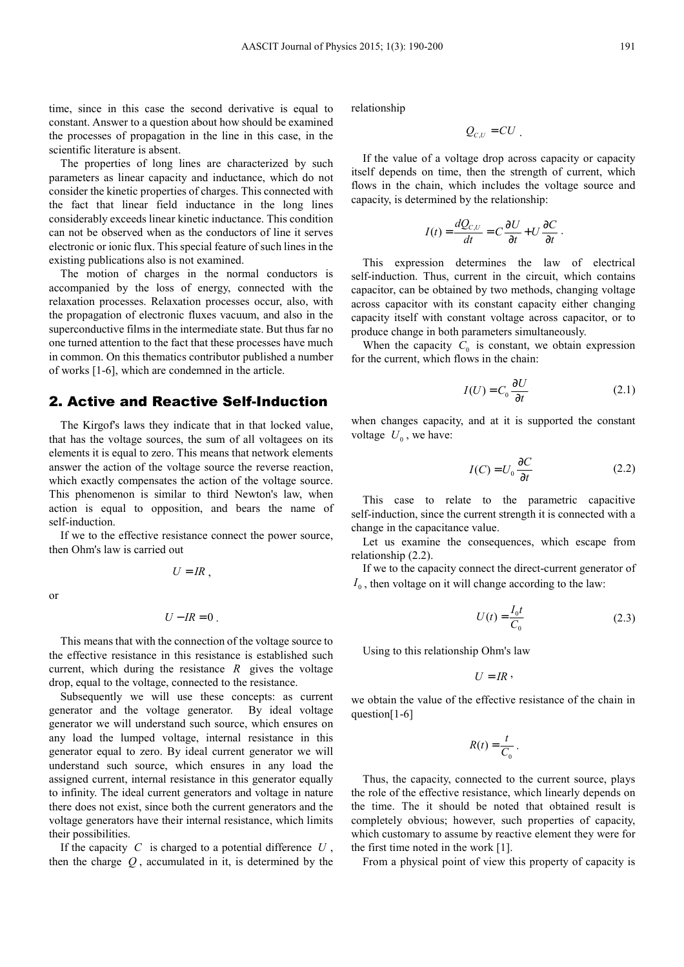time, since in this case the second derivative is equal to constant. Answer to a question about how should be examined the processes of propagation in the line in this case, in the scientific literature is absent.

The properties of long lines are characterized by such parameters as linear capacity and inductance, which do not consider the kinetic properties of charges. This connected with the fact that linear field inductance in the long lines considerably exceeds linear kinetic inductance. This condition can not be observed when as the conductors of line it serves electronic or ionic flux. This special feature of such lines in the existing publications also is not examined.

The motion of charges in the normal conductors is accompanied by the loss of energy, connected with the relaxation processes. Relaxation processes occur, also, with the propagation of electronic fluxes vacuum, and also in the superconductive films in the intermediate state. But thus far no one turned attention to the fact that these processes have much in common. On this thematics contributor published a number of works [1-6], which are condemned in the article.

#### 2. Active and Reactive Self-Induction

The Kirgof's laws they indicate that in that locked value, that has the voltage sources, the sum of all voltagees on its elements it is equal to zero. This means that network elements answer the action of the voltage source the reverse reaction, which exactly compensates the action of the voltage source. This phenomenon is similar to third Newton's law, when action is equal to opposition, and bears the name of self-induction.

If we to the effective resistance connect the power source, then Ohm's law is carried out

 $U = IR$ .

$$
\quad \text{or} \quad
$$

$$
U - IR = 0.
$$

This means that with the connection of the voltage source to the effective resistance in this resistance is established such current, which during the resistance  $R$  gives the voltage drop, equal to the voltage, connected to the resistance.

Subsequently we will use these concepts: as current generator and the voltage generator. By ideal voltage generator we will understand such source, which ensures on any load the lumped voltage, internal resistance in this generator equal to zero. By ideal current generator we will understand such source, which ensures in any load the assigned current, internal resistance in this generator equally to infinity. The ideal current generators and voltage in nature there does not exist, since both the current generators and the voltage generators have their internal resistance, which limits their possibilities.

If the capacity *C* is charged to a potential difference *U* , then the charge *Q* , accumulated in it, is determined by the relationship

$$
Q_{c,U}=CU.
$$

If the value of a voltage drop across capacity or capacity itself depends on time, then the strength of current, which flows in the chain, which includes the voltage source and capacity, is determined by the relationship:

$$
I(t) = \frac{dQ_{C,U}}{dt} = C\frac{\partial U}{\partial t} + U\frac{\partial C}{\partial t}
$$

This expression determines the law of electrical self-induction. Thus, current in the circuit, which contains capacitor, can be obtained by two methods, changing voltage across capacitor with its constant capacity either changing capacity itself with constant voltage across capacitor, or to produce change in both parameters simultaneously.

When the capacity  $C_0$  is constant, we obtain expression for the current, which flows in the chain:

$$
I(U) = C_0 \frac{\partial U}{\partial t}
$$
 (2.1)

.

when changes capacity, and at it is supported the constant voltage  $U_0$ , we have:

$$
I(C) = U_0 \frac{\partial C}{\partial t}
$$
 (2.2)

This case to relate to the parametric capacitive self-induction, since the current strength it is connected with a change in the capacitance value.

Let us examine the consequences, which escape from relationship (2.2).

If we to the capacity connect the direct-current generator of  $I_0$ , then voltage on it will change according to the law:

$$
U(t) = \frac{I_0 t}{C_0} \tag{2.3}
$$

Using to this relationship Ohm's law

$$
U=I\hspace{-0.1cm}R
$$

,

we obtain the value of the effective resistance of the chain in question[1-6]

$$
R(t) = \frac{t}{C_0}.
$$

Thus, the capacity, connected to the current source, plays the role of the effective resistance, which linearly depends on the time. The it should be noted that obtained result is completely obvious; however, such properties of capacity, which customary to assume by reactive element they were for the first time noted in the work [1].

From a physical point of view this property of capacity is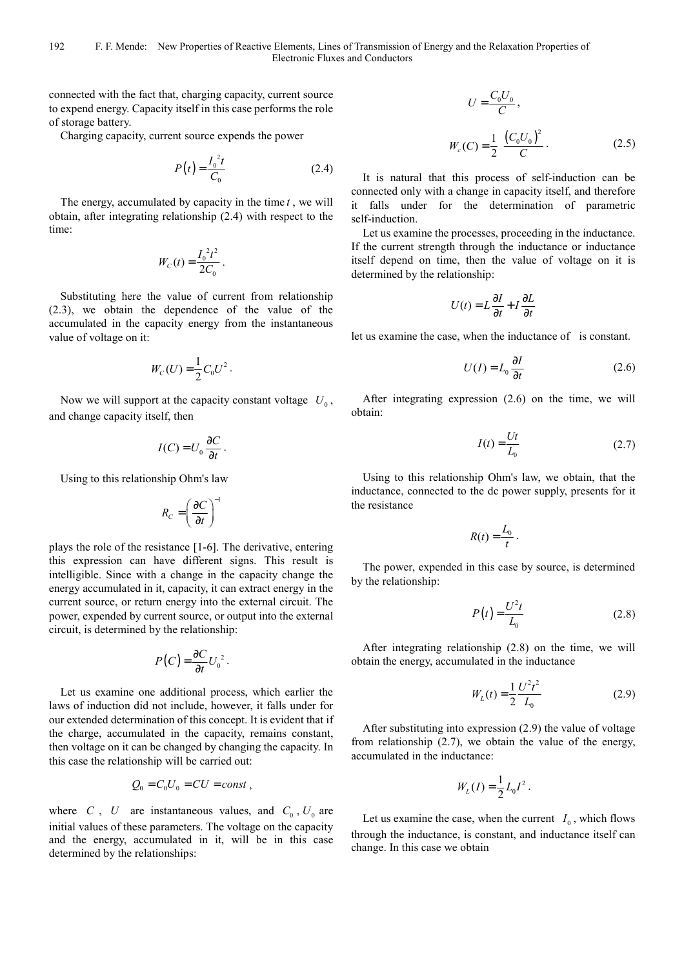connected with the fact that, charging capacity, current source to expend energy. Capacity itself in this case performs the role of storage battery.

Charging capacity, current source expends the power

$$
P(t) = \frac{I_0^2 t}{C_0}
$$
 (2.4)

The energy, accumulated by capacity in the time *t* , we will obtain, after integrating relationship (2.4) with respect to the time:

$$
W_C(t) = \frac{I_0^2 t^2}{2C_0}.
$$

Substituting here the value of current from relationship (2.3), we obtain the dependence of the value of the accumulated in the capacity energy from the instantaneous value of voltage on it:

$$
W_C(U) = \frac{1}{2} C_0 U^2.
$$

Now we will support at the capacity constant voltage  $U_0$ , and change capacity itself, then

$$
I(C) = U_0 \frac{\partial C}{\partial t}.
$$

Using to this relationship Ohm's law

$$
R_C = \left(\frac{\partial C}{\partial t}\right)^{-1}
$$

plays the role of the resistance [1-6]. The derivative, entering this expression can have different signs. This result is intelligible. Since with a change in the capacity change the energy accumulated in it, capacity, it can extract energy in the current source, or return energy into the external circuit. The power, expended by current source, or output into the external circuit, is determined by the relationship:

$$
P(C) = \frac{\partial C}{\partial t} U_0^2.
$$

Let us examine one additional process, which earlier the laws of induction did not include, however, it falls under for our extended determination of this concept. It is evident that if the charge, accumulated in the capacity, remains constant, then voltage on it can be changed by changing the capacity. In this case the relationship will be carried out:

$$
Q_0 = C_0 U_0 = CU = const ,
$$

where *C*, *U* are instantaneous values, and  $C_0$ ,  $U_0$  are initial values of these parameters. The voltage on the capacity and the energy, accumulated in it, will be in this case determined by the relationships:

$$
U = \frac{C_0 U_0}{C},
$$
  

$$
W_c(C) = \frac{1}{2} \frac{(C_0 U_0)^2}{C}.
$$
 (2.5)

It is natural that this process of self-induction can be connected only with a change in capacity itself, and therefore it falls under for the determination of parametric self-induction.

Let us examine the processes, proceeding in the inductance. If the current strength through the inductance or inductance itself depend on time, then the value of voltage on it is determined by the relationship:

$$
U(t) = L\frac{\partial I}{\partial t} + I\frac{\partial L}{\partial t}
$$

let us examine the case, when the inductance of is constant.

$$
U(I) = L_0 \frac{\partial I}{\partial t}
$$
 (2.6)

After integrating expression (2.6) on the time, we will obtain:

$$
I(t) = \frac{Ut}{L_0} \tag{2.7}
$$

Using to this relationship Ohm's law, we obtain, that the inductance, connected to the dc power supply, presents for it the resistance

$$
R(t) = \frac{L_0}{t}.
$$

The power, expended in this case by source, is determined by the relationship:

$$
P(t) = \frac{U^2 t}{L_0} \tag{2.8}
$$

After integrating relationship (2.8) on the time, we will obtain the energy, accumulated in the inductance

$$
W_L(t) = \frac{1}{2} \frac{U^2 t^2}{L_0}
$$
 (2.9)

After substituting into expression (2.9) the value of voltage from relationship (2.7), we obtain the value of the energy, accumulated in the inductance:

$$
W_L(I) = \frac{1}{2} L_0 I^2.
$$

Let us examine the case, when the current  $I_0$ , which flows through the inductance, is constant, and inductance itself can change. In this case we obtain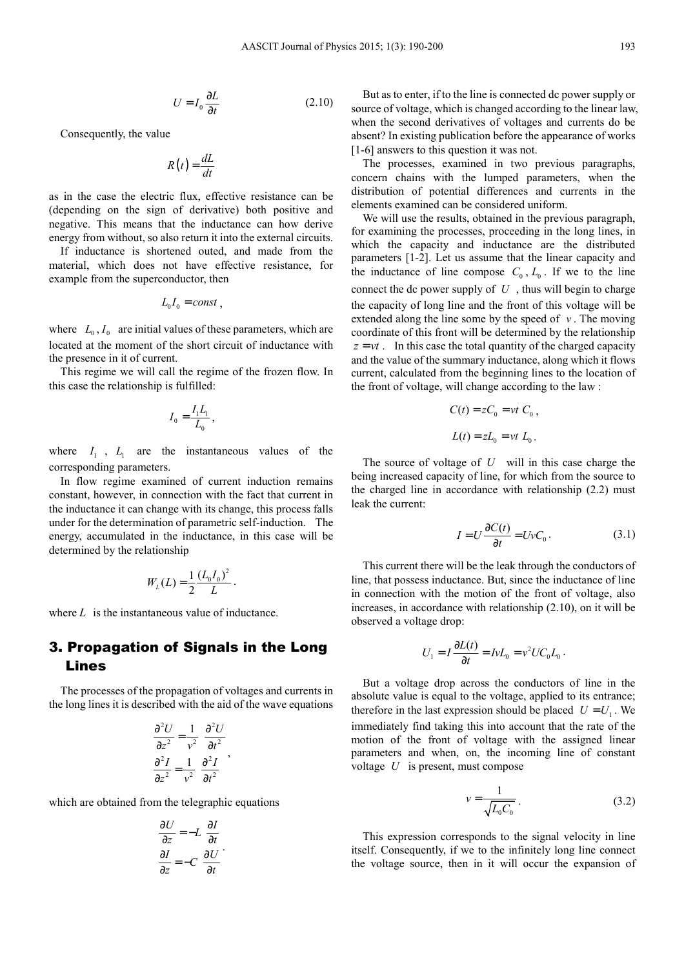$$
U = I_0 \frac{\partial L}{\partial t} \tag{2.10}
$$

Consequently, the value

$$
R(t) = \frac{dL}{dt}
$$

as in the case the electric flux, effective resistance can be (depending on the sign of derivative) both positive and negative. This means that the inductance can how derive energy from without, so also return it into the external circuits.

If inductance is shortened outed, and made from the material, which does not have effective resistance, for example from the superconductor, then

$$
L_0 I_0 = const ,
$$

where  $L_0$ ,  $I_0$  are initial values of these parameters, which are located at the moment of the short circuit of inductance with the presence in it of current.

This regime we will call the regime of the frozen flow. In this case the relationship is fulfilled:

$$
I_0=\frac{I_1L_1}{L_0}\,,
$$

where  $I_1$ ,  $I_1$  are the instantaneous values of the corresponding parameters.

In flow regime examined of current induction remains constant, however, in connection with the fact that current in the inductance it can change with its change, this process falls under for the determination of parametric self-induction. The energy, accumulated in the inductance, in this case will be determined by the relationship

$$
W_L(L) = \frac{1}{2} \frac{(L_0 I_0)^2}{L}.
$$

where L is the instantaneous value of inductance.

### 3. Propagation of Signals in the Long Lines

The processes of the propagation of voltages and currents in the long lines it is described with the aid of the wave equations

$$
\frac{\partial^2 U}{\partial z^2} = \frac{1}{v^2} \frac{\partial^2 U}{\partial t^2}
$$

$$
\frac{\partial^2 I}{\partial z^2} = \frac{1}{v^2} \frac{\partial^2 I}{\partial t^2}
$$

,

which are obtained from the telegraphic equations

$$
\frac{\partial U}{\partial z} = -L \frac{\partial I}{\partial t}
$$

$$
\frac{\partial I}{\partial z} = -C \frac{\partial U}{\partial t}
$$

But as to enter, if to the line is connected dc power supply or source of voltage, which is changed according to the linear law, when the second derivatives of voltages and currents do be absent? In existing publication before the appearance of works [1-6] answers to this question it was not.

The processes, examined in two previous paragraphs, concern chains with the lumped parameters, when the distribution of potential differences and currents in the elements examined can be considered uniform.

We will use the results, obtained in the previous paragraph, for examining the processes, proceeding in the long lines, in which the capacity and inductance are the distributed parameters [1-2]. Let us assume that the linear capacity and the inductance of line compose  $C_0$ ,  $L_0$ . If we to the line connect the dc power supply of  $U$ , thus will begin to charge the capacity of long line and the front of this voltage will be extended along the line some by the speed of  $\nu$ . The moving coordinate of this front will be determined by the relationship  $z = vt$ . In this case the total quantity of the charged capacity and the value of the summary inductance, along which it flows current, calculated from the beginning lines to the location of the front of voltage, will change according to the law :

$$
C(t) = zC_0 = vt C_0,
$$
  

$$
L(t) = zL_0 = vt L_0.
$$

The source of voltage of *U* will in this case charge the being increased capacity of line, for which from the source to the charged line in accordance with relationship (2.2) must leak the current:

$$
I = U \frac{\partial C(t)}{\partial t} = UvC_0.
$$
 (3.1)

This current there will be the leak through the conductors of line, that possess inductance. But, since the inductance of line in connection with the motion of the front of voltage, also increases, in accordance with relationship (2.10), on it will be observed a voltage drop:

$$
U_1 = I \frac{\partial L(t)}{\partial t} = IvL_0 = v^2 U C_0 L_0.
$$

But a voltage drop across the conductors of line in the absolute value is equal to the voltage, applied to its entrance; therefore in the last expression should be placed  $U = U_1$ . We immediately find taking this into account that the rate of the motion of the front of voltage with the assigned linear parameters and when, on, the incoming line of constant voltage *U* is present, must compose

$$
v = \frac{1}{\sqrt{L_0 C_0}}.
$$
 (3.2)

This expression corresponds to the signal velocity in line itself. Consequently, if we to the infinitely long line connect the voltage source, then in it will occur the expansion of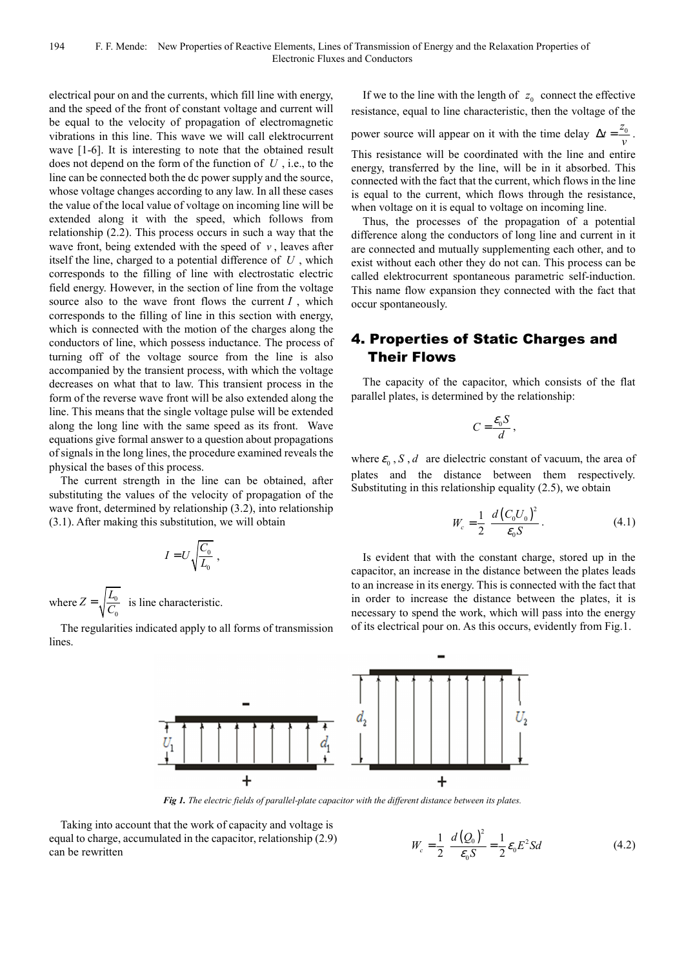electrical pour on and the currents, which fill line with energy, and the speed of the front of constant voltage and current will be equal to the velocity of propagation of electromagnetic vibrations in this line. This wave we will call elektrocurrent wave [1-6]. It is interesting to note that the obtained result does not depend on the form of the function of *U* , i.e., to the line can be connected both the dc power supply and the source, whose voltage changes according to any law. In all these cases the value of the local value of voltage on incoming line will be extended along it with the speed, which follows from relationship (2.2). This process occurs in such a way that the wave front, being extended with the speed of  $\nu$ , leaves after itself the line, charged to a potential difference of *U* , which corresponds to the filling of line with electrostatic electric field energy. However, in the section of line from the voltage source also to the wave front flows the current  $I$ , which corresponds to the filling of line in this section with energy, which is connected with the motion of the charges along the conductors of line, which possess inductance. The process of turning off of the voltage source from the line is also accompanied by the transient process, with which the voltage decreases on what that to law. This transient process in the form of the reverse wave front will be also extended along the line. This means that the single voltage pulse will be extended along the long line with the same speed as its front. Wave equations give formal answer to a question about propagations of signals in the long lines, the procedure examined reveals the physical the bases of this process.

The current strength in the line can be obtained, after substituting the values of the velocity of propagation of the wave front, determined by relationship (3.2), into relationship (3.1). After making this substitution, we will obtain

 $\sqrt{2}$ 

$$
I = U \sqrt{\frac{C_0}{L_0}}
$$
,  
where  $Z = \sqrt{\frac{L_0}{C_0}}$  is line characteristic.

The regularities indicated apply to all forms of transmission lines.

If we to the line with the length of  $z_0$  connect the effective resistance, equal to line characteristic, then the voltage of the

power source will appear on it with the time delay  $\Delta t = \frac{z_0}{v}$ . This resistance will be coordinated with the line and entire energy, transferred by the line, will be in it absorbed. This connected with the fact that the current, which flows in the line is equal to the current, which flows through the resistance, when voltage on it is equal to voltage on incoming line.

Thus, the processes of the propagation of a potential difference along the conductors of long line and current in it are connected and mutually supplementing each other, and to exist without each other they do not can. This process can be called elektrocurrent spontaneous parametric self-induction. This name flow expansion they connected with the fact that occur spontaneously.

## 4. Properties of Static Charges and Their Flows

The capacity of the capacitor, which consists of the flat parallel plates, is determined by the relationship:

$$
C=\frac{\mathcal{E}_0 S}{d},
$$

where  $\varepsilon_0$ , *S*, *d* are dielectric constant of vacuum, the area of plates and the distance between them respectively. Substituting in this relationship equality (2.5), we obtain

$$
W_c = \frac{1}{2} \frac{d (C_0 U_0)^2}{\epsilon_0 S}.
$$
 (4.1)

Is evident that with the constant charge, stored up in the capacitor, an increase in the distance between the plates leads to an increase in its energy. This is connected with the fact that in order to increase the distance between the plates, it is necessary to spend the work, which will pass into the energy of its electrical pour on. As this occurs, evidently from Fig.1.



*Fig 1. The electric fields of parallel-plate capacitor with the different distance between its plates.* 

Taking into account that the work of capacity and voltage is equal to charge, accumulated in the capacitor, relationship (2.9) can be rewritten

$$
W_c = \frac{1}{2} \frac{d(Q_0)^2}{\epsilon_0 S} = \frac{1}{2} \epsilon_0 E^2 S d \qquad (4.2)
$$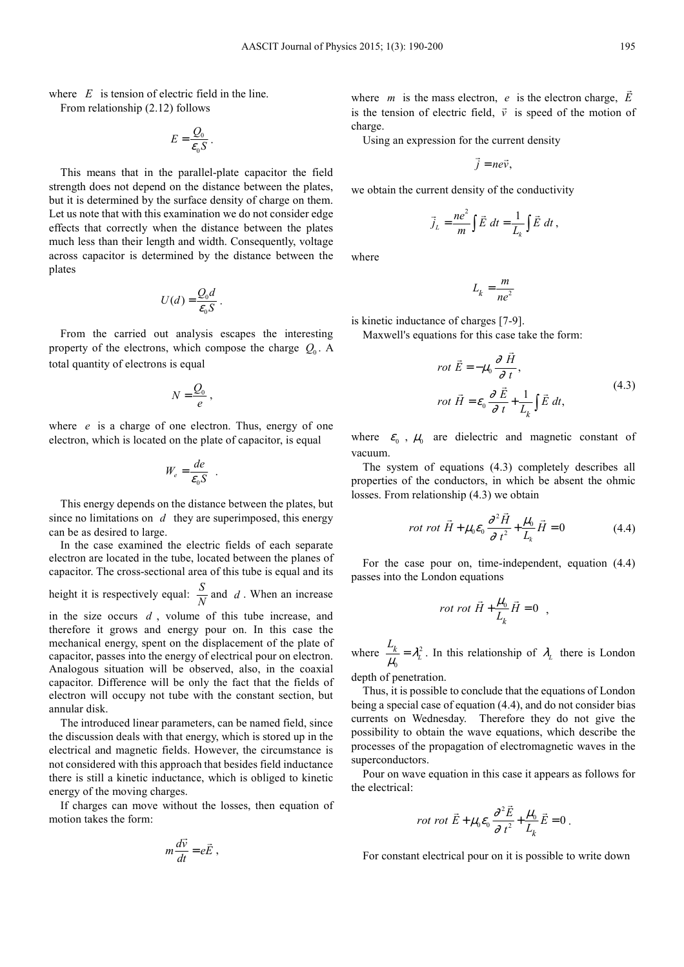where *E* is tension of electric field in the line. From relationship (2.12) follows

$$
E=\frac{Q_0}{\varepsilon_0 S}.
$$

This means that in the parallel-plate capacitor the field strength does not depend on the distance between the plates, but it is determined by the surface density of charge on them. Let us note that with this examination we do not consider edge effects that correctly when the distance between the plates much less than their length and width. Consequently, voltage across capacitor is determined by the distance between the plates

$$
U(d) = \frac{Q_0 d}{\varepsilon_0 S}.
$$

From the carried out analysis escapes the interesting property of the electrons, which compose the charge *Q*<sup>0</sup> . A total quantity of electrons is equal

$$
N=\frac{Q_0}{e}\,,
$$

where *e* is a charge of one electron. Thus, energy of one electron, which is located on the plate of capacitor, is equal

$$
W_e = \frac{de}{\varepsilon_0 S} \quad .
$$

This energy depends on the distance between the plates, but since no limitations on *d* they are superimposed, this energy can be as desired to large.

In the case examined the electric fields of each separate electron are located in the tube, located between the planes of capacitor. The cross-sectional area of this tube is equal and its

height it is respectively equal:  $\frac{S}{N}$  and *d*. When an increase

in the size occurs *d* , volume of this tube increase, and therefore it grows and energy pour on. In this case the mechanical energy, spent on the displacement of the plate of capacitor, passes into the energy of electrical pour on electron. Analogous situation will be observed, also, in the coaxial capacitor. Difference will be only the fact that the fields of electron will occupy not tube with the constant section, but annular disk.

The introduced linear parameters, can be named field, since the discussion deals with that energy, which is stored up in the electrical and magnetic fields. However, the circumstance is not considered with this approach that besides field inductance there is still a kinetic inductance, which is obliged to kinetic energy of the moving charges.

If charges can move without the losses, then equation of motion takes the form:

$$
m\frac{d\vec{v}}{dt}=e\vec{E},
$$

where *m* is the mass electron, *e* is the electron charge,  $\vec{E}$ is the tension of electric field,  $\vec{v}$  is speed of the motion of charge.

Using an expression for the current density

$$
\vec{j} = ne\vec{v},
$$

we obtain the current density of the conductivity

$$
\vec{j}_L = \frac{ne^2}{m} \int \vec{E} dt = \frac{1}{L_k} \int \vec{E} dt,
$$

where

$$
L_k = \frac{m}{ne^2}
$$

is kinetic inductance of charges [7-9].

Maxwell's equations for this case take the form:

$$
rot \vec{E} = -\mu_0 \frac{\partial \vec{H}}{\partial t},
$$
  
\n
$$
rot \vec{H} = \varepsilon_0 \frac{\partial \vec{E}}{\partial t} + \frac{1}{L_k} \int \vec{E} dt,
$$
\n(4.3)

where  $\varepsilon_0$ ,  $\mu_0$  are dielectric and magnetic constant of vacuum.

The system of equations (4.3) completely describes all properties of the conductors, in which be absent the ohmic losses. From relationship (4.3) we obtain

$$
rot \ \vec{H} + \mu_0 \varepsilon_0 \frac{\partial^2 \vec{H}}{\partial t^2} + \frac{\mu_0}{L_k} \vec{H} = 0 \tag{4.4}
$$

For the case pour on, time-independent, equation (4.4) passes into the London equations

$$
rot\ rot\ \vec{H} + \frac{\mu_0}{L_k}\vec{H} = 0 \ ,
$$

where  $\frac{-k}{l} = \lambda_l^2$  $\frac{L_k}{\mu_0} = \lambda_L^2$  $\frac{k}{\mu_0} = \lambda_L^2$ . In this relationship of  $\lambda_L$  there is London

depth of penetration.

Thus, it is possible to conclude that the equations of London being a special case of equation (4.4), and do not consider bias currents on Wednesday. Therefore they do not give the possibility to obtain the wave equations, which describe the processes of the propagation of electromagnetic waves in the superconductors.

Pour on wave equation in this case it appears as follows for the electrical:

$$
rot \tvec{E} + \mu_0 \varepsilon_0 \frac{\partial^2 \vec{E}}{\partial t^2} + \frac{\mu_0}{L_k} \vec{E} = 0.
$$

For constant electrical pour on it is possible to write down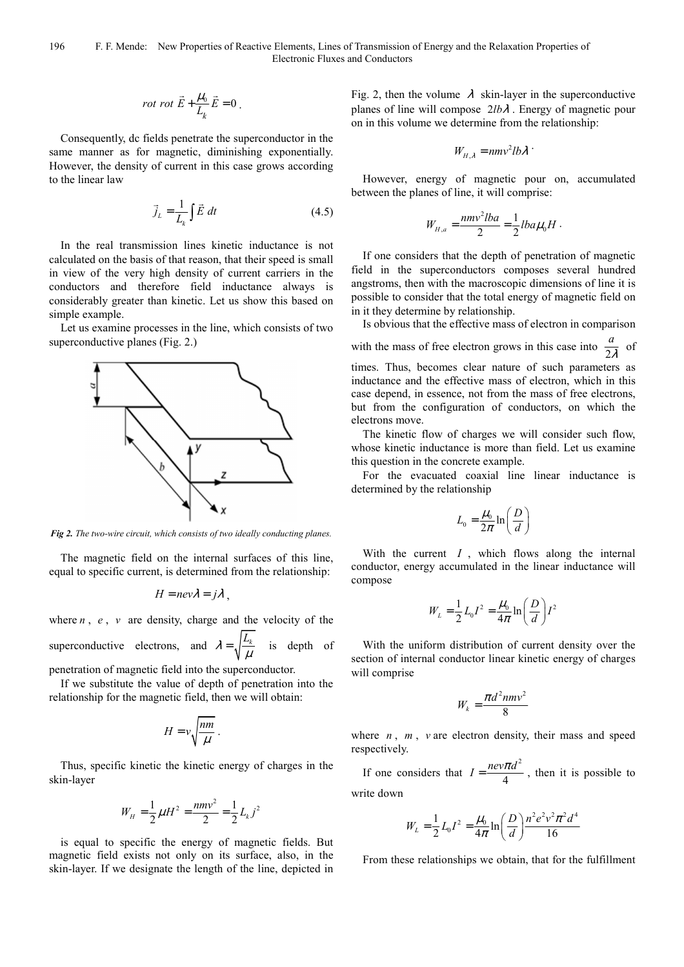$$
rot\ rot\ \vec{E} + \frac{\mu_0}{L_k}\vec{E} = 0
$$

Consequently, dc fields penetrate the superconductor in the same manner as for magnetic, diminishing exponentially. However, the density of current in this case grows according to the linear law

$$
\vec{j}_L = \frac{1}{L_k} \int \vec{E} \, dt \tag{4.5}
$$

In the real transmission lines kinetic inductance is not calculated on the basis of that reason, that their speed is small in view of the very high density of current carriers in the conductors and therefore field inductance always is considerably greater than kinetic. Let us show this based on simple example.

Let us examine processes in the line, which consists of two superconductive planes (Fig. 2.)



*Fig 2. The two-wire circuit, which consists of two ideally conducting planes.* 

The magnetic field on the internal surfaces of this line, equal to specific current, is determined from the relationship:

$$
H = nev\lambda = j\lambda,
$$

where  $n$ ,  $e$ ,  $v$  are density, charge and the velocity of the superconductive electrons, and  $\lambda = \sqrt{\frac{L_k}{M}}$  $=\sqrt{\frac{L_k}{\mu}}$  is depth of

penetration of magnetic field into the superconductor.

If we substitute the value of depth of penetration into the relationship for the magnetic field, then we will obtain:

$$
H = v \sqrt{\frac{nm}{\mu}}.
$$

Thus, specific kinetic the kinetic energy of charges in the skin-layer

$$
W_{H} = \frac{1}{2}\mu H^{2} = \frac{nmv^{2}}{2} = \frac{1}{2}L_{k}j^{2}
$$

is equal to specific the energy of magnetic fields. But magnetic field exists not only on its surface, also, in the skin-layer. If we designate the length of the line, depicted in

Fig. 2, then the volume  $\lambda$  skin-layer in the superconductive planes of line will compose 2*lb*λ . Energy of magnetic pour on in this volume we determine from the relationship:

$$
W_{H,\lambda} = n m v^2 l b \lambda
$$

However, energy of magnetic pour on, accumulated between the planes of line, it will comprise:

$$
W_{H,a} = \frac{n m v^2 l b a}{2} = \frac{1}{2} l b a \mu_0 H.
$$

If one considers that the depth of penetration of magnetic field in the superconductors composes several hundred angstroms, then with the macroscopic dimensions of line it is possible to consider that the total energy of magnetic field on in it they determine by relationship.

Is obvious that the effective mass of electron in comparison with the mass of free electron grows in this case into  $\frac{a}{2}$  $\frac{1}{\lambda}$  of times. Thus, becomes clear nature of such parameters as inductance and the effective mass of electron, which in this case depend, in essence, not from the mass of free electrons, but from the configuration of conductors, on which the electrons move.

The kinetic flow of charges we will consider such flow, whose kinetic inductance is more than field. Let us examine this question in the concrete example.

For the evacuated coaxial line linear inductance is determined by the relationship

$$
L_0 = \frac{\mu_0}{2\pi} \ln\left(\frac{D}{d}\right)
$$

With the current *I* , which flows along the internal conductor, energy accumulated in the linear inductance will compose

$$
W_L = \frac{1}{2} L_0 I^2 = \frac{\mu_0}{4\pi} \ln\left(\frac{D}{d}\right) I^2
$$

With the uniform distribution of current density over the section of internal conductor linear kinetic energy of charges will comprise

$$
W_k = \frac{\pi d^2 n m v^2}{8}
$$

where  $n$ ,  $m$ ,  $v$  are electron density, their mass and speed respectively.

If one considers that  $I = \frac{nev\pi d^2}{4}$  $I = \frac{nev\pi d^2}{4}$ , then it is possible to write down

$$
W_{L} = \frac{1}{2} L_{0} I^{2} = \frac{\mu_{0}}{4\pi} \ln\left(\frac{D}{d}\right) \frac{n^{2} e^{2} v^{2} \pi^{2} d^{4}}{16}
$$

From these relationships we obtain, that for the fulfillment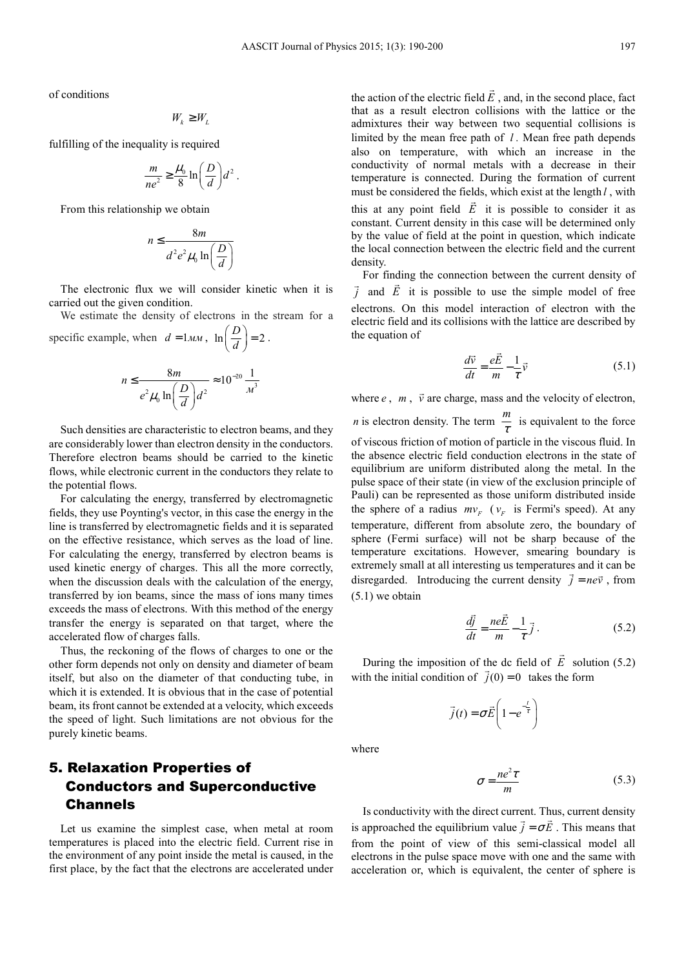of conditions

$$
W_{_k} \geq W_{_L}
$$

fulfilling of the inequality is required

$$
\frac{m}{ne^2} \ge \frac{\mu_0}{8} \ln \left( \frac{D}{d} \right) d^2.
$$

From this relationship we obtain

$$
n \le \frac{8m}{d^2 e^2 \mu_0 \ln\left(\frac{D}{d}\right)}
$$

The electronic flux we will consider kinetic when it is carried out the given condition.

We estimate the density of electrons in the stream for a specific example, when  $d = 1 M M$ ,  $\ln \left( \frac{D}{d} \right) = 2$ .

$$
n \le \frac{8m}{e^2 \mu_0 \ln\left(\frac{D}{d}\right) d^2} \approx 10^{-20} \frac{1}{m^3}
$$

Such densities are characteristic to electron beams, and they are considerably lower than electron density in the conductors. Therefore electron beams should be carried to the kinetic flows, while electronic current in the conductors they relate to the potential flows.

For calculating the energy, transferred by electromagnetic fields, they use Poynting's vector, in this case the energy in the line is transferred by electromagnetic fields and it is separated on the effective resistance, which serves as the load of line. For calculating the energy, transferred by electron beams is used kinetic energy of charges. This all the more correctly, when the discussion deals with the calculation of the energy, transferred by ion beams, since the mass of ions many times exceeds the mass of electrons. With this method of the energy transfer the energy is separated on that target, where the accelerated flow of charges falls.

Thus, the reckoning of the flows of charges to one or the other form depends not only on density and diameter of beam itself, but also on the diameter of that conducting tube, in which it is extended. It is obvious that in the case of potential beam, its front cannot be extended at a velocity, which exceeds the speed of light. Such limitations are not obvious for the purely kinetic beams.

## 5. Relaxation Properties of Conductors and Superconductive Channels

Let us examine the simplest case, when metal at room temperatures is placed into the electric field. Current rise in the environment of any point inside the metal is caused, in the first place, by the fact that the electrons are accelerated under

the action of the electric field  $\vec{E}$ , and, in the second place, fact that as a result electron collisions with the lattice or the admixtures their way between two sequential collisions is limited by the mean free path of *l .* Mean free path depends also on temperature, with which an increase in the conductivity of normal metals with a decrease in their temperature is connected. During the formation of current must be considered the fields, which exist at the length *l* , with this at any point field  $\vec{E}$  it is possible to consider it as constant. Current density in this case will be determined only by the value of field at the point in question, which indicate the local connection between the electric field and the current density.

For finding the connection between the current density of  $\vec{j}$  and  $\vec{E}$  it is possible to use the simple model of free electrons. On this model interaction of electron with the electric field and its collisions with the lattice are described by the equation of

$$
\frac{d\vec{v}}{dt} = \frac{e\vec{E}}{m} - \frac{1}{\tau}\vec{v}
$$
 (5.1)

where  $e$ ,  $m$ ,  $\vec{v}$  are charge, mass and the velocity of electron, *n* is electron density. The term  $\frac{m}{\tau}$  is equivalent to the force of viscous friction of motion of particle in the viscous fluid. In the absence electric field conduction electrons in the state of equilibrium are uniform distributed along the metal. In the pulse space of their state (in view of the exclusion principle of Pauli) can be represented as those uniform distributed inside the sphere of a radius  $mv_F$  ( $v_F$  is Fermi's speed). At any temperature, different from absolute zero, the boundary of sphere (Fermi surface) will not be sharp because of the temperature excitations. However, smearing boundary is extremely small at all interesting us temperatures and it can be disregarded. Introducing the current density  $\vec{j} = ne\vec{v}$ , from (5.1) we obtain

$$
\frac{d\vec{j}}{dt} = \frac{ne\vec{E}}{m} - \frac{1}{\tau}\vec{j} \,. \tag{5.2}
$$

During the imposition of the dc field of  $\vec{E}$  solution (5.2) with the initial condition of  $\vec{j}(0) = 0$  takes the form

$$
\vec{j}(t) = \sigma \vec{E} \left( 1 - e^{-\frac{t}{\tau}} \right)
$$

where

$$
\sigma = \frac{ne^2\tau}{m} \tag{5.3}
$$

Is conductivity with the direct current. Thus, current density is approached the equilibrium value  $\vec{j} = \sigma \vec{E}$ . This means that from the point of view of this semi-classical model all electrons in the pulse space move with one and the same with acceleration or, which is equivalent, the center of sphere is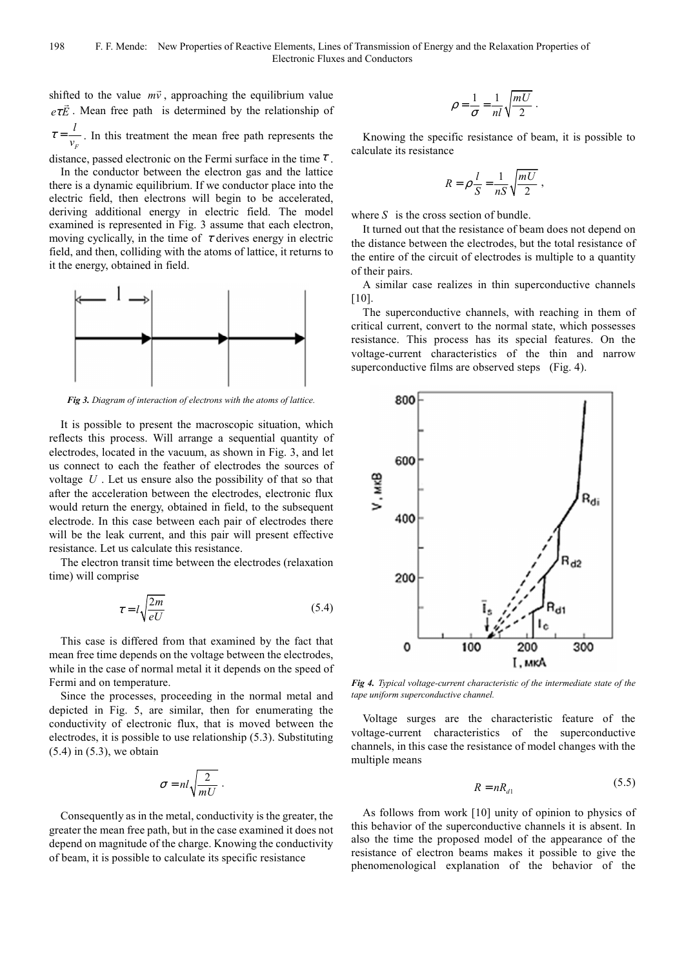shifted to the value  $m\vec{v}$ , approaching the equilibrium value  $e\tau\vec{E}$ . Mean free path is determined by the relationship of *F l*  $\tau = \frac{V}{v_F}$ . In this treatment the mean free path represents the

distance, passed electronic on the Fermi surface in the time  $\tau$ . In the conductor between the electron gas and the lattice there is a dynamic equilibrium. If we conductor place into the electric field, then electrons will begin to be accelerated, deriving additional energy in electric field. The model examined is represented in Fig. 3 assume that each electron, moving cyclically, in the time of  $\tau$  derives energy in electric field, and then, colliding with the atoms of lattice, it returns to it the energy, obtained in field.



*Fig 3. Diagram of interaction of electrons with the atoms of lattice.* 

It is possible to present the macroscopic situation, which reflects this process. Will arrange a sequential quantity of electrodes, located in the vacuum, as shown in Fig. 3, and let us connect to each the feather of electrodes the sources of voltage *U* . Let us ensure also the possibility of that so that after the acceleration between the electrodes, electronic flux would return the energy, obtained in field, to the subsequent electrode. In this case between each pair of electrodes there will be the leak current, and this pair will present effective resistance. Let us calculate this resistance.

The electron transit time between the electrodes (relaxation time) will comprise

$$
\tau = l \sqrt{\frac{2m}{eU}}\tag{5.4}
$$

This case is differed from that examined by the fact that mean free time depends on the voltage between the electrodes, while in the case of normal metal it it depends on the speed of Fermi and on temperature.

Since the processes, proceeding in the normal metal and depicted in Fig. 5, are similar, then for enumerating the conductivity of electronic flux, that is moved between the electrodes, it is possible to use relationship (5.3). Substituting (5.4) in (5.3), we obtain

$$
\sigma = nl \sqrt{\frac{2}{mU}}.
$$

Consequently as in the metal, conductivity is the greater, the greater the mean free path, but in the case examined it does not depend on magnitude of the charge. Knowing the conductivity of beam, it is possible to calculate its specific resistance

$$
\rho = \frac{1}{\sigma} = \frac{1}{nl} \sqrt{\frac{mU}{2}}.
$$

Knowing the specific resistance of beam, it is possible to calculate its resistance

$$
R = \rho \frac{l}{S} = \frac{1}{nS} \sqrt{\frac{mU}{2}} ,
$$

where *S* is the cross section of bundle.

It turned out that the resistance of beam does not depend on the distance between the electrodes, but the total resistance of the entire of the circuit of electrodes is multiple to a quantity of their pairs.

A similar case realizes in thin superconductive channels [10].

The superconductive channels, with reaching in them of critical current, convert to the normal state, which possesses resistance. This process has its special features. On the voltage-current characteristics of the thin and narrow superconductive films are observed steps (Fig. 4).



*Fig 4. Typical voltage-current characteristic of the intermediate state of the tape uniform superconductive channel.* 

Voltage surges are the characteristic feature of the voltage-current characteristics of the superconductive channels, in this case the resistance of model changes with the multiple means

$$
R = nR_{d1} \tag{5.5}
$$

As follows from work [10] unity of opinion to physics of this behavior of the superconductive channels it is absent. In also the time the proposed model of the appearance of the resistance of electron beams makes it possible to give the phenomenological explanation of the behavior of the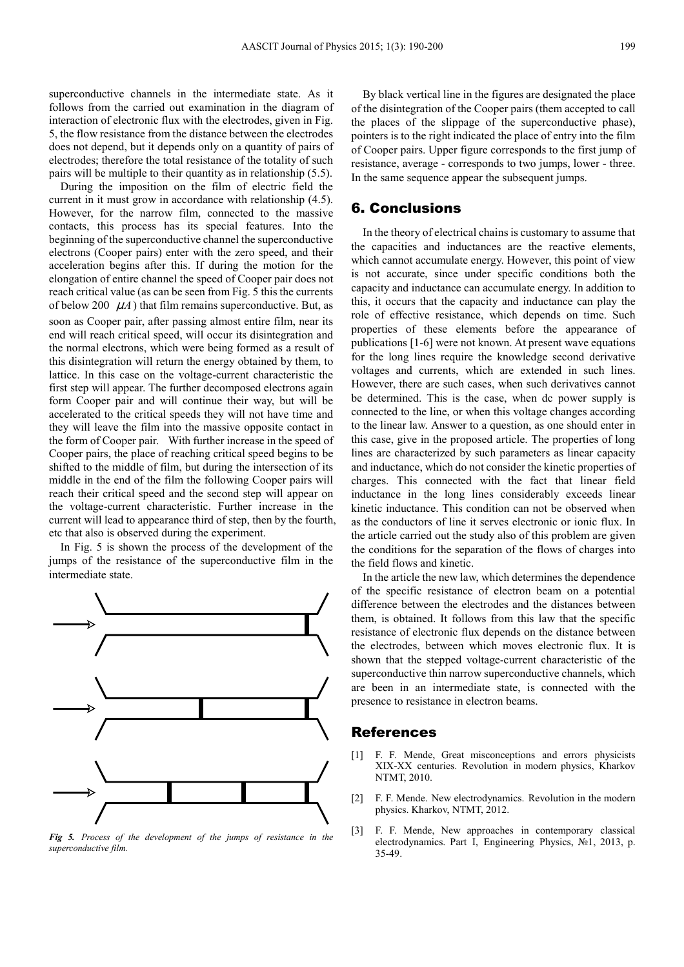superconductive channels in the intermediate state. As it follows from the carried out examination in the diagram of interaction of electronic flux with the electrodes, given in Fig. 5, the flow resistance from the distance between the electrodes does not depend, but it depends only on a quantity of pairs of electrodes; therefore the total resistance of the totality of such pairs will be multiple to their quantity as in relationship (5.5).

During the imposition on the film of electric field the current in it must grow in accordance with relationship (4.5). However, for the narrow film, connected to the massive contacts, this process has its special features. Into the beginning of the superconductive channel the superconductive electrons (Cooper pairs) enter with the zero speed, and their acceleration begins after this. If during the motion for the elongation of entire channel the speed of Cooper pair does not reach critical value (as can be seen from Fig. 5 this the currents of below 200  $\mu$ *A*) that film remains superconductive. But, as soon as Cooper pair, after passing almost entire film, near its end will reach critical speed, will occur its disintegration and the normal electrons, which were being formed as a result of this disintegration will return the energy obtained by them, to lattice. In this case on the voltage-current characteristic the first step will appear. The further decomposed electrons again form Cooper pair and will continue their way, but will be accelerated to the critical speeds they will not have time and they will leave the film into the massive opposite contact in the form of Cooper pair. With further increase in the speed of Cooper pairs, the place of reaching critical speed begins to be shifted to the middle of film, but during the intersection of its middle in the end of the film the following Cooper pairs will reach their critical speed and the second step will appear on the voltage-current characteristic. Further increase in the current will lead to appearance third of step, then by the fourth, etc that also is observed during the experiment.

In Fig. 5 is shown the process of the development of the jumps of the resistance of the superconductive film in the intermediate state.



*Fig 5. Process of the development of the jumps of resistance in the superconductive film.* 

By black vertical line in the figures are designated the place of the disintegration of the Cooper pairs (them accepted to call the places of the slippage of the superconductive phase), pointers is to the right indicated the place of entry into the film of Cooper pairs. Upper figure corresponds to the first jump of resistance, average - corresponds to two jumps, lower - three. In the same sequence appear the subsequent jumps.

#### 6. Conclusions

In the theory of electrical chains is customary to assume that the capacities and inductances are the reactive elements, which cannot accumulate energy. However, this point of view is not accurate, since under specific conditions both the capacity and inductance can accumulate energy. In addition to this, it occurs that the capacity and inductance can play the role of effective resistance, which depends on time. Such properties of these elements before the appearance of publications [1-6] were not known. At present wave equations for the long lines require the knowledge second derivative voltages and currents, which are extended in such lines. However, there are such cases, when such derivatives cannot be determined. This is the case, when dc power supply is connected to the line, or when this voltage changes according to the linear law. Answer to a question, as one should enter in this case, give in the proposed article. The properties of long lines are characterized by such parameters as linear capacity and inductance, which do not consider the kinetic properties of charges. This connected with the fact that linear field inductance in the long lines considerably exceeds linear kinetic inductance. This condition can not be observed when as the conductors of line it serves electronic or ionic flux. In the article carried out the study also of this problem are given the conditions for the separation of the flows of charges into the field flows and kinetic.

In the article the new law, which determines the dependence of the specific resistance of electron beam on a potential difference between the electrodes and the distances between them, is obtained. It follows from this law that the specific resistance of electronic flux depends on the distance between the electrodes, between which moves electronic flux. It is shown that the stepped voltage-current characteristic of the superconductive thin narrow superconductive channels, which are been in an intermediate state, is connected with the presence to resistance in electron beams.

#### References

- [1] F. F. Mende, Great misconceptions and errors physicists XIX-XX centuries. Revolution in modern physics, Kharkоv NTMT, 2010.
- [2] F. F. Mende. New electrodynamics. Revolution in the modern physics. Kharkov, NTMT, 2012.
- [3] F. F. Mende, New approaches in contemporary classical electrodynamics. Part I, Engineering Physics, №1, 2013, p. 35-49.